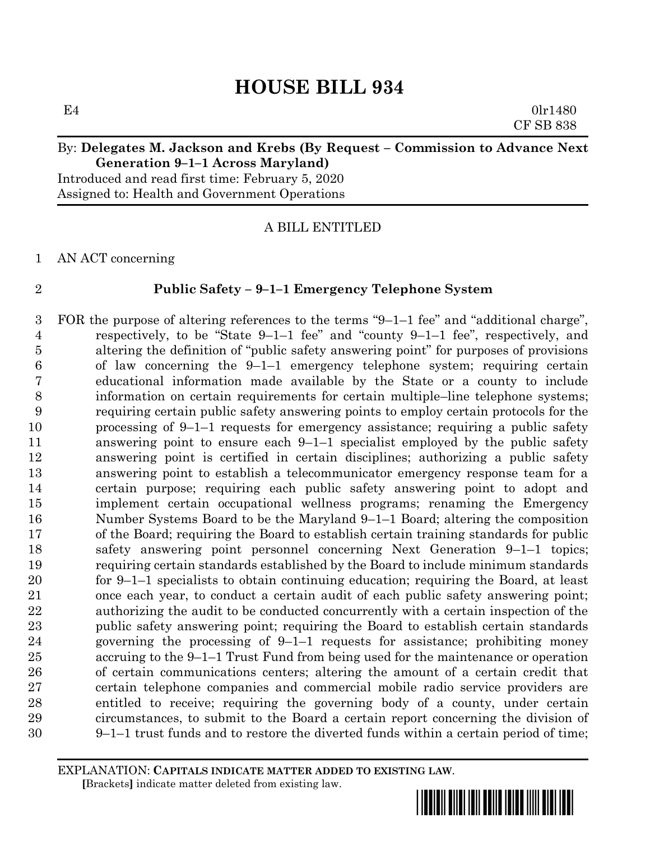$E4$  0lr1480 CF SB 838

## By: **Delegates M. Jackson and Krebs (By Request – Commission to Advance Next Generation 9–1–1 Across Maryland)**

Introduced and read first time: February 5, 2020 Assigned to: Health and Government Operations

## A BILL ENTITLED

AN ACT concerning

## **Public Safety – 9–1–1 Emergency Telephone System**

 FOR the purpose of altering references to the terms "9–1–1 fee" and "additional charge", respectively, to be "State 9–1–1 fee" and "county 9–1–1 fee", respectively, and altering the definition of "public safety answering point" for purposes of provisions of law concerning the 9–1–1 emergency telephone system; requiring certain educational information made available by the State or a county to include information on certain requirements for certain multiple–line telephone systems; requiring certain public safety answering points to employ certain protocols for the processing of 9–1–1 requests for emergency assistance; requiring a public safety answering point to ensure each 9–1–1 specialist employed by the public safety answering point is certified in certain disciplines; authorizing a public safety answering point to establish a telecommunicator emergency response team for a certain purpose; requiring each public safety answering point to adopt and implement certain occupational wellness programs; renaming the Emergency Number Systems Board to be the Maryland 9–1–1 Board; altering the composition of the Board; requiring the Board to establish certain training standards for public safety answering point personnel concerning Next Generation 9–1–1 topics; requiring certain standards established by the Board to include minimum standards for 9–1–1 specialists to obtain continuing education; requiring the Board, at least once each year, to conduct a certain audit of each public safety answering point; authorizing the audit to be conducted concurrently with a certain inspection of the public safety answering point; requiring the Board to establish certain standards governing the processing of 9–1–1 requests for assistance; prohibiting money accruing to the 9–1–1 Trust Fund from being used for the maintenance or operation of certain communications centers; altering the amount of a certain credit that certain telephone companies and commercial mobile radio service providers are entitled to receive; requiring the governing body of a county, under certain circumstances, to submit to the Board a certain report concerning the division of 9–1–1 trust funds and to restore the diverted funds within a certain period of time;

EXPLANATION: **CAPITALS INDICATE MATTER ADDED TO EXISTING LAW**.  **[**Brackets**]** indicate matter deleted from existing law.

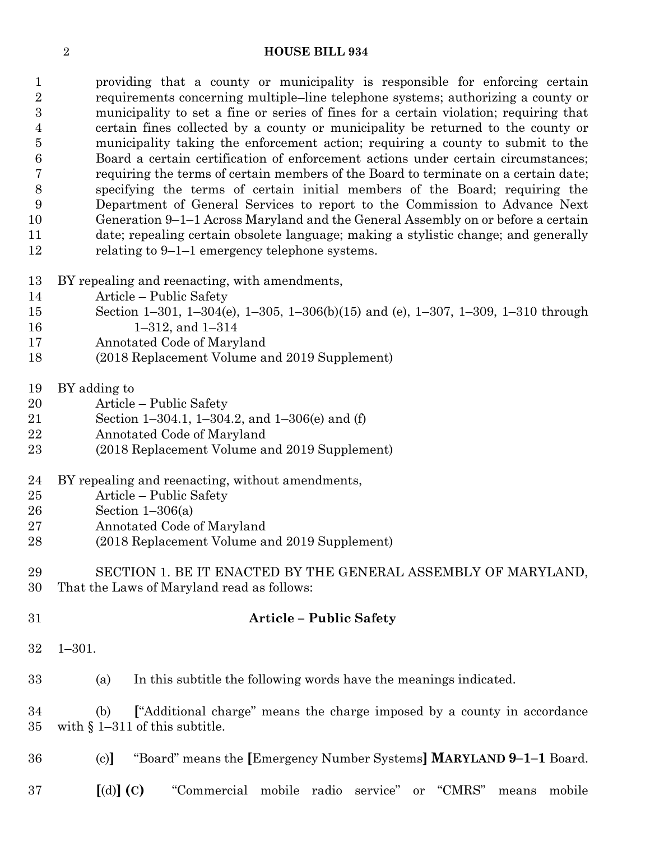providing that a county or municipality is responsible for enforcing certain requirements concerning multiple–line telephone systems; authorizing a county or municipality to set a fine or series of fines for a certain violation; requiring that certain fines collected by a county or municipality be returned to the county or municipality taking the enforcement action; requiring a county to submit to the Board a certain certification of enforcement actions under certain circumstances; requiring the terms of certain members of the Board to terminate on a certain date; specifying the terms of certain initial members of the Board; requiring the Department of General Services to report to the Commission to Advance Next Generation 9–1–1 Across Maryland and the General Assembly on or before a certain date; repealing certain obsolete language; making a stylistic change; and generally relating to 9–1–1 emergency telephone systems.

- BY repealing and reenacting, with amendments,
- Article Public Safety
- Section 1–301, 1–304(e), 1–305, 1–306(b)(15) and (e), 1–307, 1–309, 1–310 through
- 1–312, and 1–314
- Annotated Code of Maryland
- (2018 Replacement Volume and 2019 Supplement)
- BY adding to
- Article Public Safety
- Section 1–304.1, 1–304.2, and 1–306(e) and (f)
- Annotated Code of Maryland
- (2018 Replacement Volume and 2019 Supplement)
- BY repealing and reenacting, without amendments,
- Article Public Safety
- Section 1–306(a)
- Annotated Code of Maryland
- (2018 Replacement Volume and 2019 Supplement)
- SECTION 1. BE IT ENACTED BY THE GENERAL ASSEMBLY OF MARYLAND, That the Laws of Maryland read as follows:

| 31       | <b>Article – Public Safety</b>                                                                                     |
|----------|--------------------------------------------------------------------------------------------------------------------|
| 32       | $1 - 301.$                                                                                                         |
| 33       | In this subtitle the following words have the meanings indicated.<br>(a)                                           |
| 34<br>35 | "Additional charge" means the charge imposed by a county in accordance<br>(b)<br>with $\S 1-311$ of this subtitle. |
| 36       | "Board" means the [Emergency Number Systems] <b>MARYLAND 9-1-1</b> Board.<br>(c)                                   |
| 37       | "Commercial mobile radio service" or "CMRS"<br>$\left[ \text{(d)} \right]$ (C)<br>mobile<br>means                  |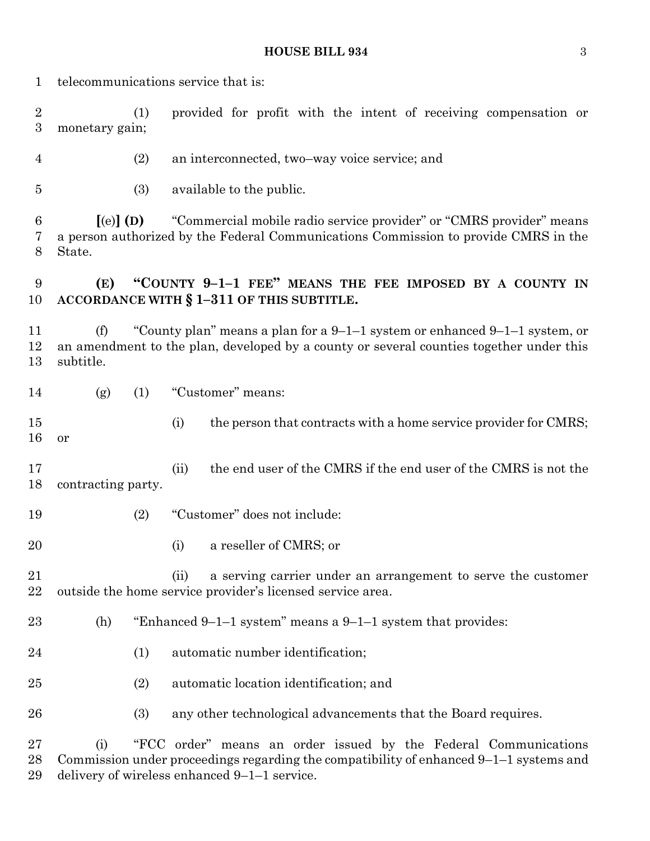telecommunications service that is: (1) provided for profit with the intent of receiving compensation or monetary gain; (2) an interconnected, two–way voice service; and (3) available to the public. **[**(e)**] (D)** "Commercial mobile radio service provider" or "CMRS provider" means a person authorized by the Federal Communications Commission to provide CMRS in the State. **(E) "COUNTY 9–1–1 FEE" MEANS THE FEE IMPOSED BY A COUNTY IN ACCORDANCE WITH § 1–311 OF THIS SUBTITLE.** (f) "County plan" means a plan for a 9–1–1 system or enhanced 9–1–1 system, or an amendment to the plan, developed by a county or several counties together under this subtitle. (g) (1) "Customer" means: 15 (i) the person that contracts with a home service provider for CMRS; or (ii) the end user of the CMRS if the end user of the CMRS is not the contracting party. (2) "Customer" does not include: (i) a reseller of CMRS; or (ii) a serving carrier under an arrangement to serve the customer outside the home service provider's licensed service area. (h) "Enhanced 9–1–1 system" means a 9–1–1 system that provides: (1) automatic number identification; (2) automatic location identification; and (3) any other technological advancements that the Board requires. (i) "FCC order" means an order issued by the Federal Communications Commission under proceedings regarding the compatibility of enhanced 9–1–1 systems and

delivery of wireless enhanced 9–1–1 service.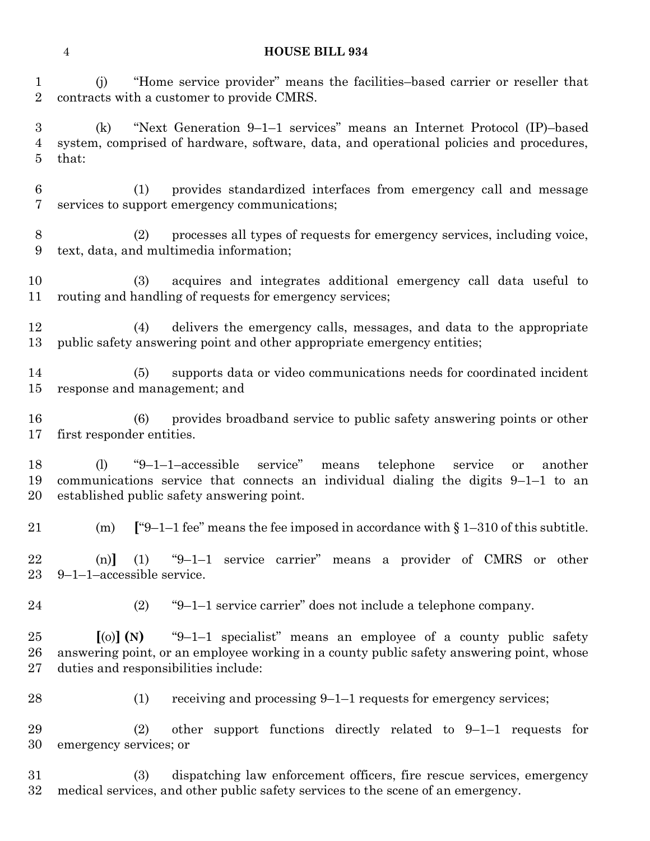(j) "Home service provider" means the facilities–based carrier or reseller that contracts with a customer to provide CMRS.

 (k) "Next Generation 9–1–1 services" means an Internet Protocol (IP)–based system, comprised of hardware, software, data, and operational policies and procedures, that:

 (1) provides standardized interfaces from emergency call and message services to support emergency communications;

 (2) processes all types of requests for emergency services, including voice, text, data, and multimedia information;

 (3) acquires and integrates additional emergency call data useful to routing and handling of requests for emergency services;

 (4) delivers the emergency calls, messages, and data to the appropriate public safety answering point and other appropriate emergency entities;

 (5) supports data or video communications needs for coordinated incident response and management; and

 (6) provides broadband service to public safety answering points or other first responder entities.

 (l) "9–1–1–accessible service" means telephone service or another communications service that connects an individual dialing the digits 9–1–1 to an established public safety answering point.

(m) **[**"9–1–1 fee" means the fee imposed in accordance with § 1–310 of this subtitle.

 (n)**]** (1) "9–1–1 service carrier" means a provider of CMRS or other 9–1–1–accessible service.

(2) "9–1–1 service carrier" does not include a telephone company.

 **[**(o)**] (N)** "9–1–1 specialist" means an employee of a county public safety answering point, or an employee working in a county public safety answering point, whose duties and responsibilities include:

28 (1) receiving and processing 9–1–1 requests for emergency services;

 (2) other support functions directly related to 9–1–1 requests for emergency services; or

 (3) dispatching law enforcement officers, fire rescue services, emergency medical services, and other public safety services to the scene of an emergency.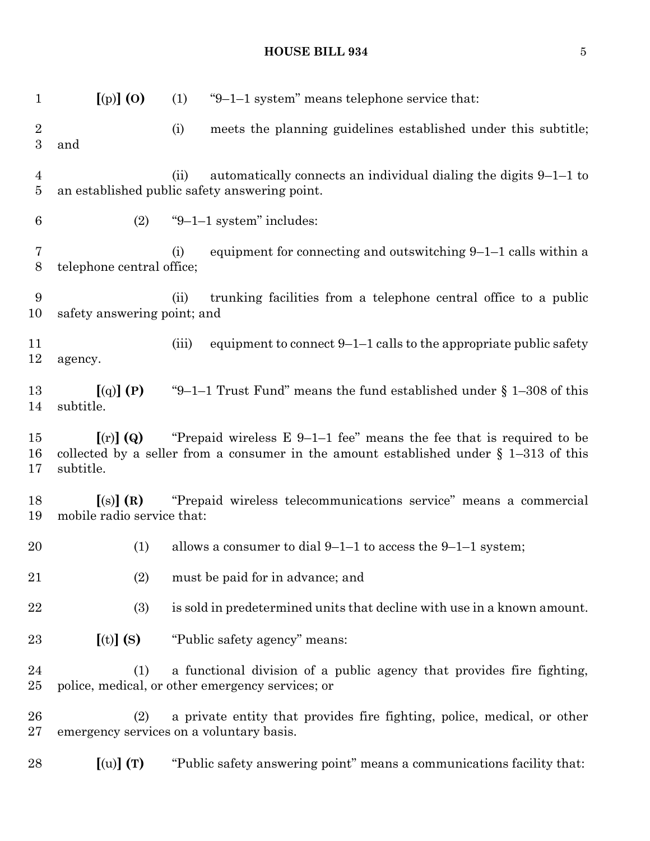| 1                                | $[$ (p) $]$ (O)                                          | (1)   | "9-1-1 system" means telephone service that:                                                                                                                      |
|----------------------------------|----------------------------------------------------------|-------|-------------------------------------------------------------------------------------------------------------------------------------------------------------------|
| $\overline{2}$<br>3              | and                                                      | (i)   | meets the planning guidelines established under this subtitle;                                                                                                    |
| $\overline{4}$<br>$\overline{5}$ |                                                          | (ii)  | automatically connects an individual dialing the digits $9-1-1$ to<br>an established public safety answering point.                                               |
| $6\phantom{.}6$                  | (2)                                                      |       | " $9-1-1$ system" includes:                                                                                                                                       |
| 7<br>$\boldsymbol{8}$            | telephone central office;                                | (i)   | equipment for connecting and outswitching $9-1-1$ calls within a                                                                                                  |
| 9<br>10                          | safety answering point; and                              | (ii)  | trunking facilities from a telephone central office to a public                                                                                                   |
| 11<br>12                         | agency.                                                  | (iii) | equipment to connect $9-1-1$ calls to the appropriate public safety                                                                                               |
| 13<br>14                         | $\left[\left(q\right)\right]\left(P\right)$<br>subtitle. |       | "9–1–1 Trust Fund" means the fund established under $\S$ 1–308 of this                                                                                            |
| 15<br>16<br>17                   | $\left[ \text{(r)} \right]$ (Q)<br>subtitle.             |       | "Prepaid wireless $E$ 9-1-1 fee" means the fee that is required to be<br>collected by a seller from a consumer in the amount established under $\S$ 1-313 of this |
| 18<br>19                         | [(s)](R)<br>mobile radio service that:                   |       | "Prepaid wireless telecommunications service" means a commercial                                                                                                  |
| 20                               | (1)                                                      |       | allows a consumer to dial $9-1-1$ to access the $9-1-1$ system;                                                                                                   |
| 21                               | (2)                                                      |       | must be paid for in advance; and                                                                                                                                  |
| 22                               | (3)                                                      |       | is sold in predetermined units that decline with use in a known amount.                                                                                           |
| 23                               | $[(t)]$ $(S)$                                            |       | "Public safety agency" means:                                                                                                                                     |
| 24<br>25                         | (1)                                                      |       | a functional division of a public agency that provides fire fighting,<br>police, medical, or other emergency services; or                                         |
| 26<br>27                         | (2)<br>emergency services on a voluntary basis.          |       | a private entity that provides fire fighting, police, medical, or other                                                                                           |
| 28                               | $\left[\text{(u)}\right]\left(\text{T}\right)$           |       | "Public safety answering point" means a communications facility that:                                                                                             |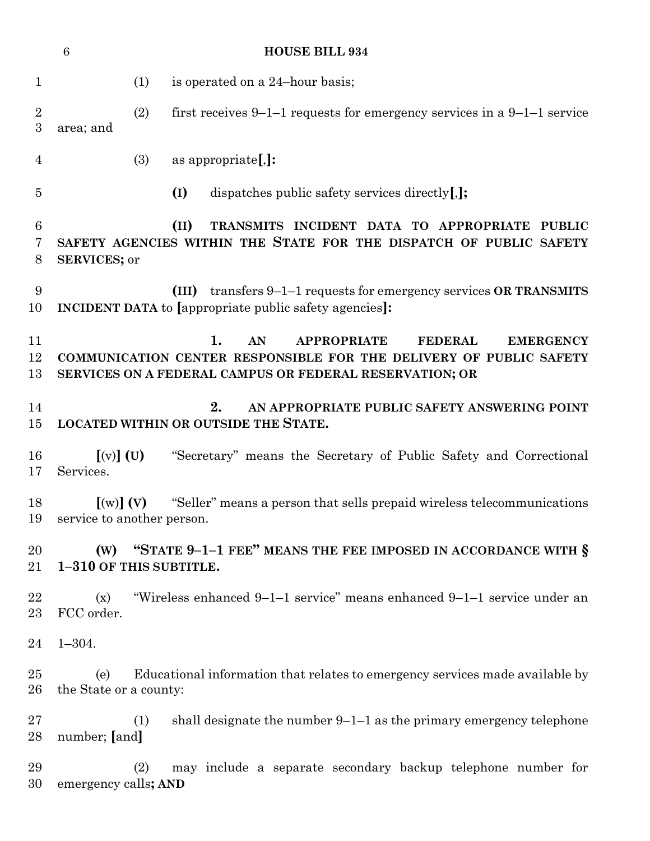|                                | $\,6\,$                                                         |     | <b>HOUSE BILL 934</b>                                                                                                                                                                                 |
|--------------------------------|-----------------------------------------------------------------|-----|-------------------------------------------------------------------------------------------------------------------------------------------------------------------------------------------------------|
| $\mathbf{1}$                   |                                                                 | (1) | is operated on a 24-hour basis;                                                                                                                                                                       |
| $\sqrt{2}$<br>$\boldsymbol{3}$ | area; and                                                       | (2) | first receives $9-1-1$ requests for emergency services in a $9-1-1$ service                                                                                                                           |
| 4                              |                                                                 | (3) | as appropriate[,]:                                                                                                                                                                                    |
| 5                              |                                                                 |     | (I)<br>dispatches public safety services directly $[$ , $]$ ;                                                                                                                                         |
| $\boldsymbol{6}$<br>7<br>8     | <b>SERVICES; or</b>                                             |     | (II)<br>TRANSMITS INCIDENT DATA TO APPROPRIATE<br><b>PUBLIC</b><br>SAFETY AGENCIES WITHIN THE STATE FOR THE DISPATCH OF PUBLIC SAFETY                                                                 |
| 9<br>10                        |                                                                 |     | transfers $9-1-1$ requests for emergency services OR TRANSMITS<br>(III)<br>INCIDENT DATA to [appropriate public safety agencies]:                                                                     |
| 11<br>12<br>13                 |                                                                 |     | 1.<br>AN<br><b>APPROPRIATE</b><br><b>FEDERAL</b><br><b>EMERGENCY</b><br>COMMUNICATION CENTER RESPONSIBLE FOR THE DELIVERY OF PUBLIC SAFETY<br>SERVICES ON A FEDERAL CAMPUS OR FEDERAL RESERVATION; OR |
| 14<br>15                       |                                                                 |     | 2.<br>AN APPROPRIATE PUBLIC SAFETY ANSWERING POINT<br><b>LOCATED WITHIN OR OUTSIDE THE STATE.</b>                                                                                                     |
| 16<br>17                       | $[(v)]$ (U)<br>Services.                                        |     | "Secretary" means the Secretary of Public Safety and Correctional                                                                                                                                     |
| 18                             | $\lbrack\text{(w)}\rbrack$ (V)<br>19 service to another person. |     | "Seller" means a person that sells prepaid wireless telecommunications                                                                                                                                |
| 20<br>21                       | (W)<br>1-310 OF THIS SUBTITLE.                                  |     | "STATE 9-1-1 FEE" MEANS THE FEE IMPOSED IN ACCORDANCE WITH §                                                                                                                                          |
| 22<br>23                       | (x)<br>FCC order.                                               |     | "Wireless enhanced 9–1–1 service" means enhanced 9–1–1 service under an                                                                                                                               |
| 24                             | $1 - 304.$                                                      |     |                                                                                                                                                                                                       |
| 25<br>26                       | (e)<br>the State or a county:                                   |     | Educational information that relates to emergency services made available by                                                                                                                          |
| 27<br>28                       | number; [and]                                                   | (1) | shall designate the number $9-1-1$ as the primary emergency telephone                                                                                                                                 |
| 29<br>30                       | emergency calls; AND                                            | (2) | may include a separate secondary backup telephone number for                                                                                                                                          |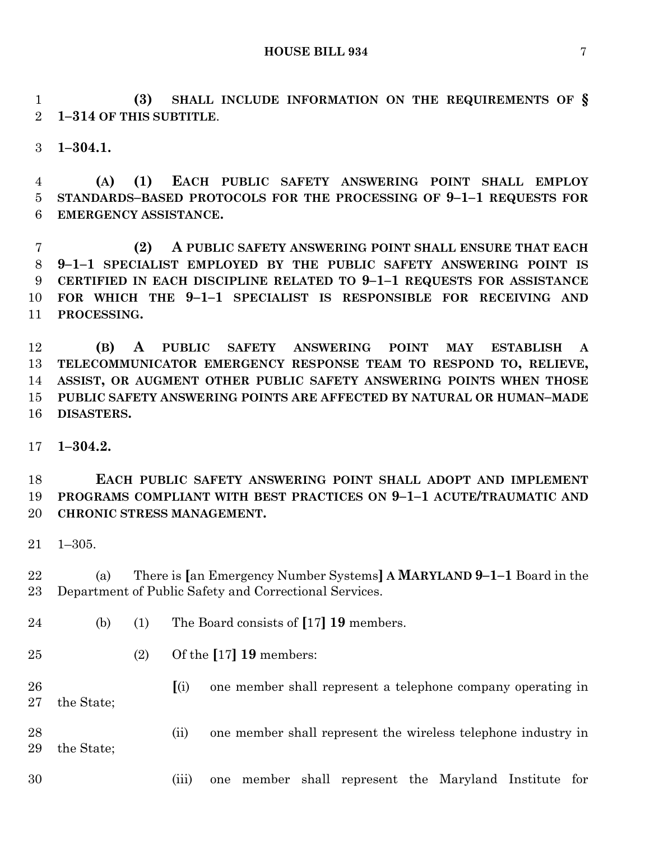**(3) SHALL INCLUDE INFORMATION ON THE REQUIREMENTS OF § 1–314 OF THIS SUBTITLE**.

**1–304.1.**

 **(A) (1) EACH PUBLIC SAFETY ANSWERING POINT SHALL EMPLOY STANDARDS–BASED PROTOCOLS FOR THE PROCESSING OF 9–1–1 REQUESTS FOR EMERGENCY ASSISTANCE.**

 **(2) A PUBLIC SAFETY ANSWERING POINT SHALL ENSURE THAT EACH 9–1–1 SPECIALIST EMPLOYED BY THE PUBLIC SAFETY ANSWERING POINT IS CERTIFIED IN EACH DISCIPLINE RELATED TO 9–1–1 REQUESTS FOR ASSISTANCE FOR WHICH THE 9–1–1 SPECIALIST IS RESPONSIBLE FOR RECEIVING AND PROCESSING.**

 **(B) A PUBLIC SAFETY ANSWERING POINT MAY ESTABLISH A TELECOMMUNICATOR EMERGENCY RESPONSE TEAM TO RESPOND TO, RELIEVE, ASSIST, OR AUGMENT OTHER PUBLIC SAFETY ANSWERING POINTS WHEN THOSE PUBLIC SAFETY ANSWERING POINTS ARE AFFECTED BY NATURAL OR HUMAN–MADE DISASTERS.**

**1–304.2.**

 **EACH PUBLIC SAFETY ANSWERING POINT SHALL ADOPT AND IMPLEMENT PROGRAMS COMPLIANT WITH BEST PRACTICES ON 9–1–1 ACUTE/TRAUMATIC AND CHRONIC STRESS MANAGEMENT.**

1–305.

 (a) There is **[**an Emergency Number Systems**] A MARYLAND 9–1–1** Board in the Department of Public Safety and Correctional Services.

- (b) (1) The Board consists of **[**17**] 19** members.
- (2) Of the **[**17**] 19** members:
- **[**(i) one member shall represent a telephone company operating in the State;

 (ii) one member shall represent the wireless telephone industry in the State;

(iii) one member shall represent the Maryland Institute for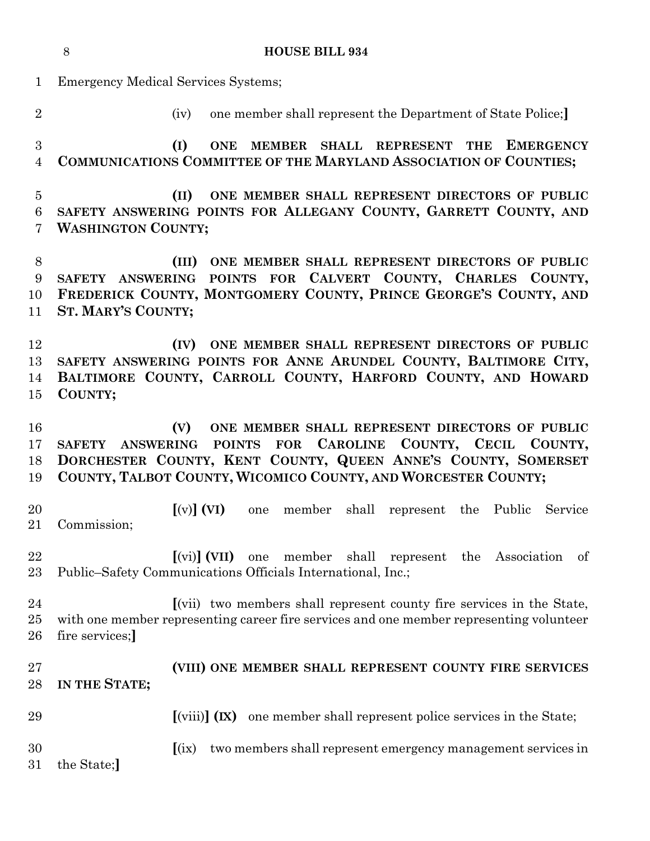|                          | 8<br><b>HOUSE BILL 934</b>                                                                                                                                                                                                                                                |
|--------------------------|---------------------------------------------------------------------------------------------------------------------------------------------------------------------------------------------------------------------------------------------------------------------------|
| $\mathbf{1}$             | <b>Emergency Medical Services Systems;</b>                                                                                                                                                                                                                                |
| $\overline{2}$           | one member shall represent the Department of State Police;<br>(iv)                                                                                                                                                                                                        |
| $\boldsymbol{3}$<br>4    | (I)<br><b>ONE</b><br><b>MEMBER</b><br>SHALL REPRESENT<br>THE EMERGENCY<br>COMMUNICATIONS COMMITTEE OF THE MARYLAND ASSOCIATION OF COUNTIES;                                                                                                                               |
| $\overline{5}$<br>6<br>7 | ONE MEMBER SHALL REPRESENT DIRECTORS OF PUBLIC<br>(II)<br>SAFETY ANSWERING POINTS FOR ALLEGANY COUNTY, GARRETT COUNTY, AND<br><b>WASHINGTON COUNTY;</b>                                                                                                                   |
| 8<br>9<br>10<br>11       | ONE MEMBER SHALL REPRESENT DIRECTORS OF PUBLIC<br>(III)<br>SAFETY ANSWERING POINTS FOR CALVERT COUNTY, CHARLES COUNTY,<br>FREDERICK COUNTY, MONTGOMERY COUNTY, PRINCE GEORGE'S COUNTY, AND<br><b>ST. MARY'S COUNTY;</b>                                                   |
| 12<br>13<br>14<br>15     | (IV) ONE MEMBER SHALL REPRESENT DIRECTORS OF PUBLIC<br>SAFETY ANSWERING POINTS FOR ANNE ARUNDEL COUNTY, BALTIMORE CITY,<br>BALTIMORE COUNTY, CARROLL COUNTY, HARFORD COUNTY, AND HOWARD<br>COUNTY;                                                                        |
| 16<br>17<br>18<br>19     | ONE MEMBER SHALL REPRESENT DIRECTORS OF PUBLIC<br>(V)<br>POINTS FOR CAROLINE COUNTY, CECIL COUNTY,<br><b>ANSWERING</b><br><b>SAFETY</b><br>DORCHESTER COUNTY, KENT COUNTY, QUEEN ANNE'S COUNTY, SOMERSET<br>COUNTY, TALBOT COUNTY, WICOMICO COUNTY, AND WORCESTER COUNTY; |
| 20<br>21                 | $\left[\text{(v)}\right]$ (VI)<br>member shall represent the Public<br>Service<br>one<br>Commission;                                                                                                                                                                      |
| 22<br>23                 | $\lceil$ (vi) $\rceil$ (VII) one<br>shall represent the Association<br>member<br>of<br>Public–Safety Communications Officials International, Inc.;                                                                                                                        |
| $\bf{24}$<br>25<br>26    | [(vii) two members shall represent county fire services in the State,<br>with one member representing career fire services and one member representing volunteer<br>fire services;                                                                                        |
| 27<br>28                 | (VIII) ONE MEMBER SHALL REPRESENT COUNTY FIRE SERVICES<br>IN THE STATE;                                                                                                                                                                                                   |
| 29                       | $\left[\text{(viii)}\right]$ (IX) one member shall represent police services in the State;                                                                                                                                                                                |
| 30                       | [(ix) two members shall represent emergency management services in                                                                                                                                                                                                        |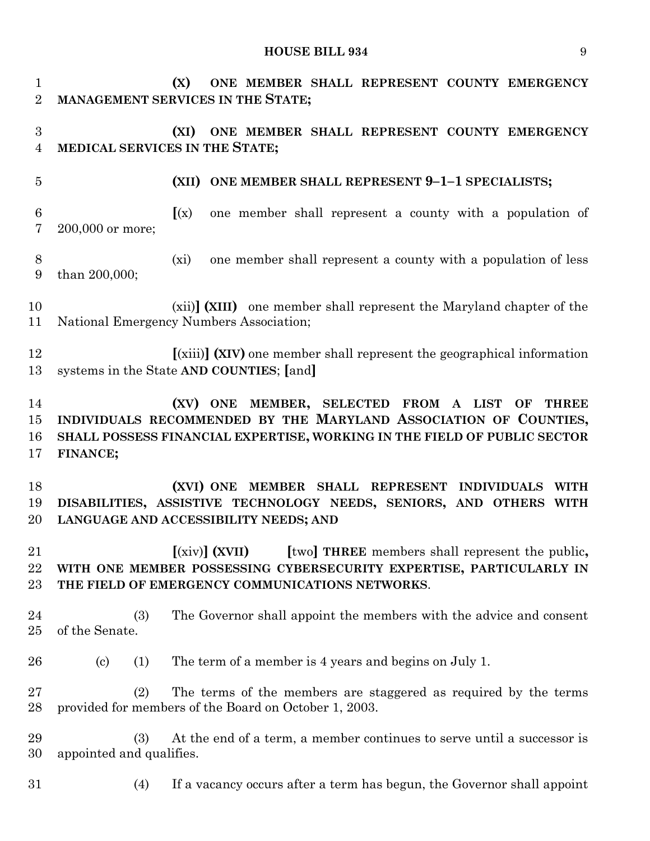**(X) ONE MEMBER SHALL REPRESENT COUNTY EMERGENCY MANAGEMENT SERVICES IN THE STATE; (XI) ONE MEMBER SHALL REPRESENT COUNTY EMERGENCY MEDICAL SERVICES IN THE STATE; (XII) ONE MEMBER SHALL REPRESENT 9–1–1 SPECIALISTS; [**(x) one member shall represent a county with a population of 200,000 or more; (xi) one member shall represent a county with a population of less than 200,000; (xii)**] (XIII)** one member shall represent the Maryland chapter of the National Emergency Numbers Association; **[**(xiii)**] (XIV)** one member shall represent the geographical information systems in the State **AND COUNTIES**; **[**and**] (XV) ONE MEMBER, SELECTED FROM A LIST OF THREE INDIVIDUALS RECOMMENDED BY THE MARYLAND ASSOCIATION OF COUNTIES, SHALL POSSESS FINANCIAL EXPERTISE, WORKING IN THE FIELD OF PUBLIC SECTOR FINANCE; (XVI) ONE MEMBER SHALL REPRESENT INDIVIDUALS WITH DISABILITIES, ASSISTIVE TECHNOLOGY NEEDS, SENIORS, AND OTHERS WITH LANGUAGE AND ACCESSIBILITY NEEDS; AND [**(xiv)**] (XVII) [**two**] THREE** members shall represent the public**, WITH ONE MEMBER POSSESSING CYBERSECURITY EXPERTISE, PARTICULARLY IN THE FIELD OF EMERGENCY COMMUNICATIONS NETWORKS**. (3) The Governor shall appoint the members with the advice and consent of the Senate. (c) (1) The term of a member is 4 years and begins on July 1. (2) The terms of the members are staggered as required by the terms provided for members of the Board on October 1, 2003. (3) At the end of a term, a member continues to serve until a successor is appointed and qualifies. (4) If a vacancy occurs after a term has begun, the Governor shall appoint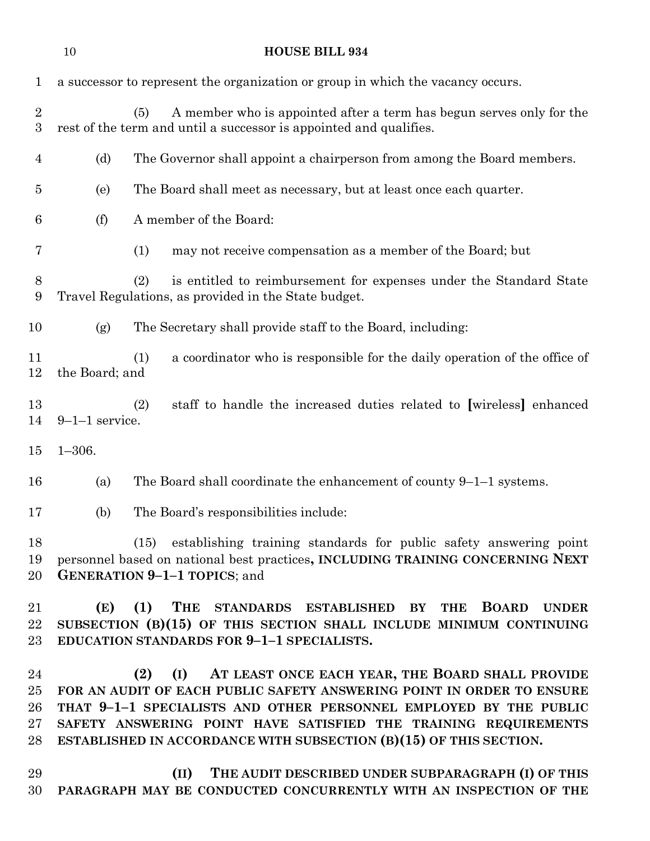| 1                                    |                  | a successor to represent the organization or group in which the vacancy occurs.                                                                                                                                                                                                                                                                    |
|--------------------------------------|------------------|----------------------------------------------------------------------------------------------------------------------------------------------------------------------------------------------------------------------------------------------------------------------------------------------------------------------------------------------------|
| $\boldsymbol{2}$<br>$\boldsymbol{3}$ |                  | A member who is appointed after a term has begun serves only for the<br>(5)<br>rest of the term and until a successor is appointed and qualifies.                                                                                                                                                                                                  |
| $\overline{4}$                       | (d)              | The Governor shall appoint a chairperson from among the Board members.                                                                                                                                                                                                                                                                             |
| 5                                    | (e)              | The Board shall meet as necessary, but at least once each quarter.                                                                                                                                                                                                                                                                                 |
| 6                                    | (f)              | A member of the Board:                                                                                                                                                                                                                                                                                                                             |
| 7                                    |                  | may not receive compensation as a member of the Board; but<br>(1)                                                                                                                                                                                                                                                                                  |
| 8<br>9                               |                  | (2)<br>is entitled to reimbursement for expenses under the Standard State<br>Travel Regulations, as provided in the State budget.                                                                                                                                                                                                                  |
| 10                                   | (g)              | The Secretary shall provide staff to the Board, including:                                                                                                                                                                                                                                                                                         |
| 11<br>12                             | the Board; and   | a coordinator who is responsible for the daily operation of the office of<br>(1)                                                                                                                                                                                                                                                                   |
| 13<br>14                             | $9-1-1$ service. | staff to handle the increased duties related to [wireless] enhanced<br>(2)                                                                                                                                                                                                                                                                         |
| 15                                   | $1 - 306.$       |                                                                                                                                                                                                                                                                                                                                                    |
| 16                                   | (a)              | The Board shall coordinate the enhancement of county $9-1-1$ systems.                                                                                                                                                                                                                                                                              |
| 17                                   | (b)              | The Board's responsibilities include:                                                                                                                                                                                                                                                                                                              |
| 18<br>19<br>20                       |                  | (15) establishing training standards for public safety answering point<br>personnel based on national best practices, INCLUDING TRAINING CONCERNING NEXT<br><b>GENERATION 9-1-1 TOPICS</b> ; and                                                                                                                                                   |
| 21<br>22<br>23                       | (E)              | THE STANDARDS ESTABLISHED BY THE<br>(1)<br><b>BOARD</b><br><b>UNDER</b><br>SUBSECTION (B)(15) OF THIS SECTION SHALL INCLUDE MINIMUM CONTINUING<br>EDUCATION STANDARDS FOR 9-1-1 SPECIALISTS.                                                                                                                                                       |
| 24<br>25<br>26<br>27<br>28           |                  | (I) AT LEAST ONCE EACH YEAR, THE BOARD SHALL PROVIDE<br>(2)<br>FOR AN AUDIT OF EACH PUBLIC SAFETY ANSWERING POINT IN ORDER TO ENSURE<br>THAT 9-1-1 SPECIALISTS AND OTHER PERSONNEL EMPLOYED BY THE PUBLIC<br>SAFETY ANSWERING POINT HAVE SATISFIED THE TRAINING REQUIREMENTS<br>ESTABLISHED IN ACCORDANCE WITH SUBSECTION (B)(15) OF THIS SECTION. |
| 29<br>30                             |                  | THE AUDIT DESCRIBED UNDER SUBPARAGRAPH (I) OF THIS<br>(II)<br>PARAGRAPH MAY BE CONDUCTED CONCURRENTLY WITH AN INSPECTION OF THE                                                                                                                                                                                                                    |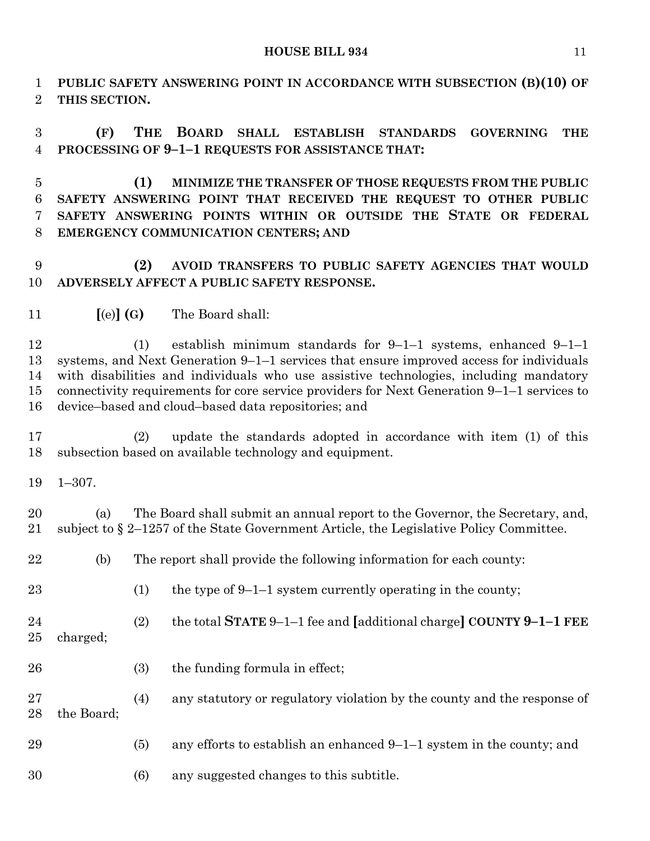**PUBLIC SAFETY ANSWERING POINT IN ACCORDANCE WITH SUBSECTION (B)(10) OF THIS SECTION.**

 **(F) THE BOARD SHALL ESTABLISH STANDARDS GOVERNING THE PROCESSING OF 9–1–1 REQUESTS FOR ASSISTANCE THAT:**

 **(1) MINIMIZE THE TRANSFER OF THOSE REQUESTS FROM THE PUBLIC SAFETY ANSWERING POINT THAT RECEIVED THE REQUEST TO OTHER PUBLIC SAFETY ANSWERING POINTS WITHIN OR OUTSIDE THE STATE OR FEDERAL EMERGENCY COMMUNICATION CENTERS; AND**

# **(2) AVOID TRANSFERS TO PUBLIC SAFETY AGENCIES THAT WOULD ADVERSELY AFFECT A PUBLIC SAFETY RESPONSE.**

**[**(e)**] (G)** The Board shall:

 (1) establish minimum standards for 9–1–1 systems, enhanced 9–1–1 systems, and Next Generation 9–1–1 services that ensure improved access for individuals with disabilities and individuals who use assistive technologies, including mandatory connectivity requirements for core service providers for Next Generation 9–1–1 services to device–based and cloud–based data repositories; and

 (2) update the standards adopted in accordance with item (1) of this subsection based on available technology and equipment.

1–307.

 (a) The Board shall submit an annual report to the Governor, the Secretary, and, subject to § 2–1257 of the State Government Article, the Legislative Policy Committee.

| 22       | (b)        |     | The report shall provide the following information for each county:     |
|----------|------------|-----|-------------------------------------------------------------------------|
| 23       |            | (1) | the type of $9-1-1$ system currently operating in the county;           |
| 24<br>25 | charged;   | (2) | the total STATE $9-1-1$ fee and [additional charge] COUNTY $9-1-1$ FEE  |
| 26       |            | (3) | the funding formula in effect;                                          |
| 27<br>28 | the Board; | (4) | any statutory or regulatory violation by the county and the response of |
| 29       |            | (5) | any efforts to establish an enhanced $9-1-1$ system in the county; and  |
| 30       |            | (6) | any suggested changes to this subtitle.                                 |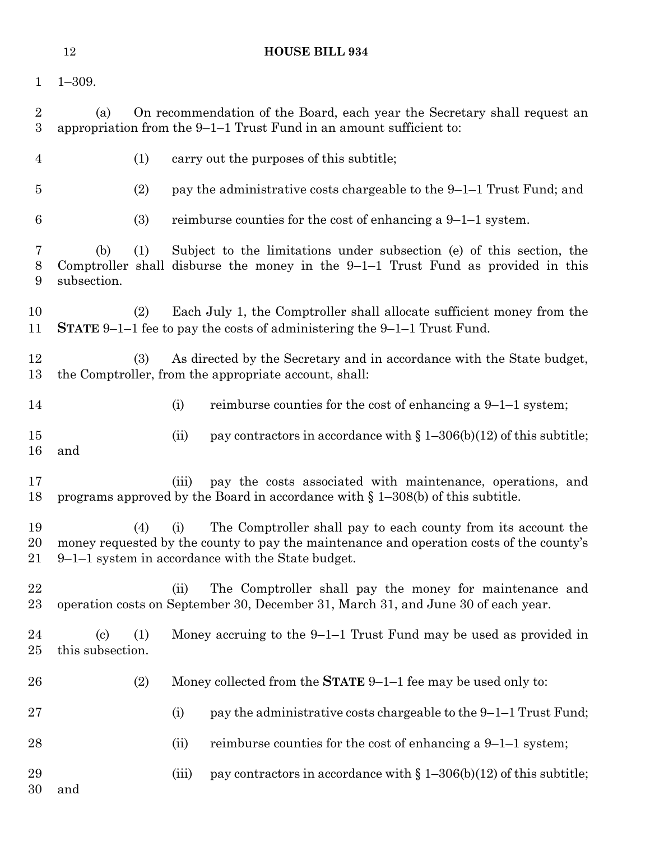| $\mathbf{1}$        | $1 - 309.$                                            |       |                                                                                                                                                                                                                  |
|---------------------|-------------------------------------------------------|-------|------------------------------------------------------------------------------------------------------------------------------------------------------------------------------------------------------------------|
| $\overline{2}$<br>3 | (a)                                                   |       | On recommendation of the Board, each year the Secretary shall request an<br>appropriation from the $9-1-1$ Trust Fund in an amount sufficient to:                                                                |
| $\overline{4}$      | (1)                                                   |       | carry out the purposes of this subtitle;                                                                                                                                                                         |
| $\overline{5}$      | (2)                                                   |       | pay the administrative costs chargeable to the 9–1–1 Trust Fund; and                                                                                                                                             |
| 6                   | (3)                                                   |       | reimburse counties for the cost of enhancing a $9-1-1$ system.                                                                                                                                                   |
| 7<br>8<br>9         | (1)<br>(b)<br>subsection.                             |       | Subject to the limitations under subsection (e) of this section, the<br>Comptroller shall disburse the money in the $9-1-1$ Trust Fund as provided in this                                                       |
| 10<br>11            | (2)                                                   |       | Each July 1, the Comptroller shall allocate sufficient money from the<br><b>STATE</b> $9-1-1$ fee to pay the costs of administering the $9-1-1$ Trust Fund.                                                      |
| 12<br>13            | (3)                                                   |       | As directed by the Secretary and in accordance with the State budget,<br>the Comptroller, from the appropriate account, shall:                                                                                   |
| 14                  |                                                       | (i)   | reimburse counties for the cost of enhancing a $9-1-1$ system;                                                                                                                                                   |
| 15<br>16            | and                                                   | (ii)  | pay contractors in accordance with $\S 1-306(b)(12)$ of this subtitle;                                                                                                                                           |
| 17<br>18            |                                                       | (iii) | pay the costs associated with maintenance, operations, and<br>programs approved by the Board in accordance with $\S 1-308(b)$ of this subtitle.                                                                  |
| 19<br>20<br>21      | (4)                                                   | (i)   | The Comptroller shall pay to each county from its account the<br>money requested by the county to pay the maintenance and operation costs of the county's<br>$9-1-1$ system in accordance with the State budget. |
| 22<br>$23\,$        |                                                       | (ii)  | The Comptroller shall pay the money for maintenance and<br>operation costs on September 30, December 31, March 31, and June 30 of each year.                                                                     |
| 24<br>25            | (1)<br>$\left( \mathrm{c}\right)$<br>this subsection. |       | Money accruing to the $9-1-1$ Trust Fund may be used as provided in                                                                                                                                              |
| 26                  | (2)                                                   |       | Money collected from the <b>STATE</b> $9-1-1$ fee may be used only to:                                                                                                                                           |
| $27\,$              |                                                       | (i)   | pay the administrative costs chargeable to the 9-1-1 Trust Fund;                                                                                                                                                 |
| 28                  |                                                       | (ii)  | reimburse counties for the cost of enhancing a $9-1-1$ system;                                                                                                                                                   |
| 29<br>30            | and                                                   | (iii) | pay contractors in accordance with $\S 1-306(b)(12)$ of this subtitle;                                                                                                                                           |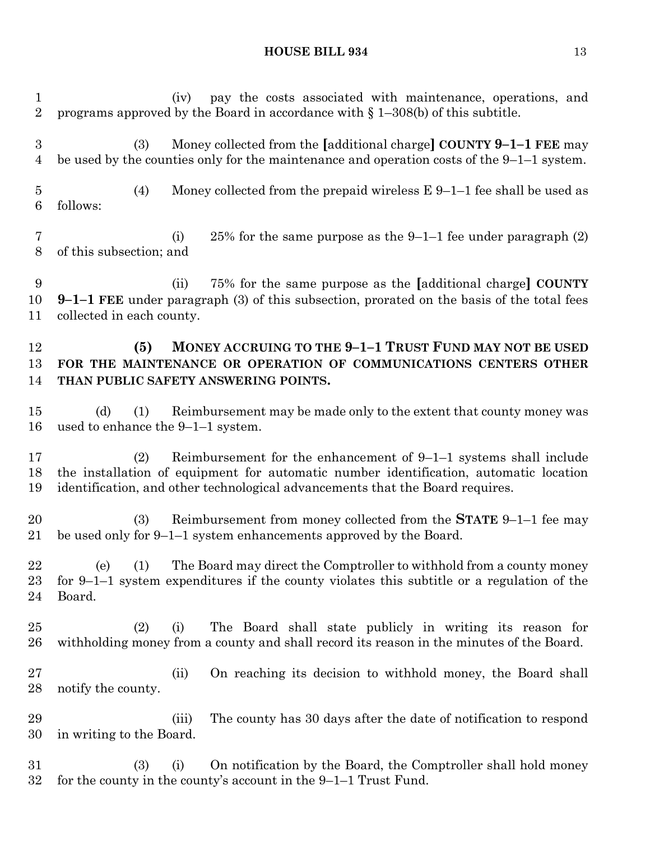(iv) pay the costs associated with maintenance, operations, and programs approved by the Board in accordance with § 1–308(b) of this subtitle. (3) Money collected from the **[**additional charge**] COUNTY 9–1–1 FEE** may be used by the counties only for the maintenance and operation costs of the 9–1–1 system. (4) Money collected from the prepaid wireless E 9–1–1 fee shall be used as follows: (i) 25% for the same purpose as the 9–1–1 fee under paragraph (2) of this subsection; and (ii) 75% for the same purpose as the **[**additional charge**] COUNTY 9–1–1 FEE** under paragraph (3) of this subsection, prorated on the basis of the total fees collected in each county. **(5) MONEY ACCRUING TO THE 9–1–1 TRUST FUND MAY NOT BE USED FOR THE MAINTENANCE OR OPERATION OF COMMUNICATIONS CENTERS OTHER THAN PUBLIC SAFETY ANSWERING POINTS.** (d) (1) Reimbursement may be made only to the extent that county money was used to enhance the 9–1–1 system. (2) Reimbursement for the enhancement of 9–1–1 systems shall include the installation of equipment for automatic number identification, automatic location identification, and other technological advancements that the Board requires. (3) Reimbursement from money collected from the **STATE** 9–1–1 fee may be used only for 9–1–1 system enhancements approved by the Board. (e) (1) The Board may direct the Comptroller to withhold from a county money for 9–1–1 system expenditures if the county violates this subtitle or a regulation of the Board. (2) (i) The Board shall state publicly in writing its reason for withholding money from a county and shall record its reason in the minutes of the Board. (ii) On reaching its decision to withhold money, the Board shall notify the county. (iii) The county has 30 days after the date of notification to respond in writing to the Board. (3) (i) On notification by the Board, the Comptroller shall hold money for the county in the county's account in the 9–1–1 Trust Fund.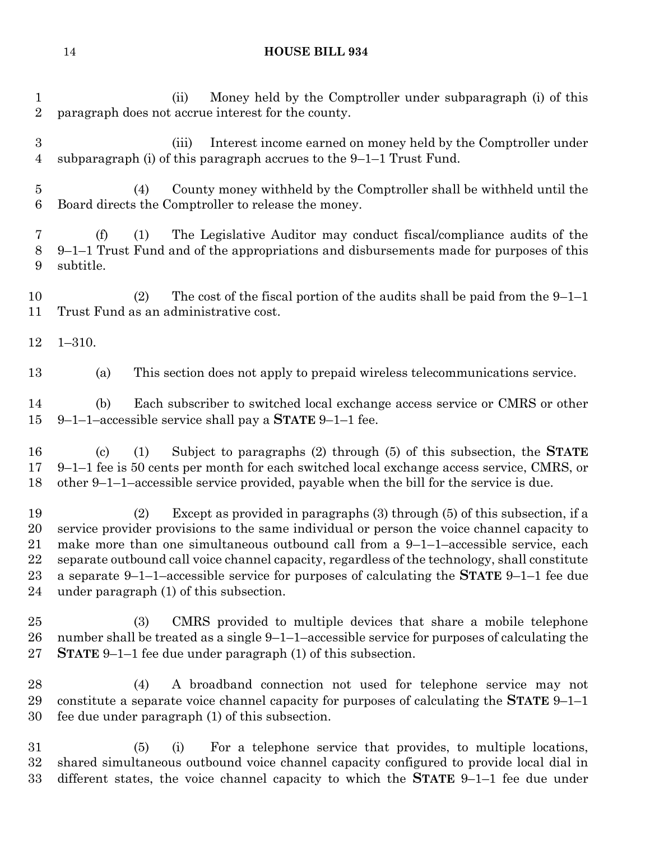(ii) Money held by the Comptroller under subparagraph (i) of this paragraph does not accrue interest for the county. (iii) Interest income earned on money held by the Comptroller under subparagraph (i) of this paragraph accrues to the 9–1–1 Trust Fund. (4) County money withheld by the Comptroller shall be withheld until the Board directs the Comptroller to release the money. (f) (1) The Legislative Auditor may conduct fiscal/compliance audits of the 9–1–1 Trust Fund and of the appropriations and disbursements made for purposes of this subtitle. (2) The cost of the fiscal portion of the audits shall be paid from the 9–1–1 Trust Fund as an administrative cost. 1–310. (a) This section does not apply to prepaid wireless telecommunications service. (b) Each subscriber to switched local exchange access service or CMRS or other 9–1–1–accessible service shall pay a **STATE** 9–1–1 fee. (c) (1) Subject to paragraphs (2) through (5) of this subsection, the **STATE**  9–1–1 fee is 50 cents per month for each switched local exchange access service, CMRS, or other 9–1–1–accessible service provided, payable when the bill for the service is due. (2) Except as provided in paragraphs (3) through (5) of this subsection, if a service provider provisions to the same individual or person the voice channel capacity to make more than one simultaneous outbound call from a 9–1–1–accessible service, each separate outbound call voice channel capacity, regardless of the technology, shall constitute a separate 9–1–1–accessible service for purposes of calculating the **STATE** 9–1–1 fee due under paragraph (1) of this subsection. (3) CMRS provided to multiple devices that share a mobile telephone number shall be treated as a single 9–1–1–accessible service for purposes of calculating the **STATE** 9–1–1 fee due under paragraph (1) of this subsection. (4) A broadband connection not used for telephone service may not constitute a separate voice channel capacity for purposes of calculating the **STATE** 9–1–1 fee due under paragraph (1) of this subsection. (5) (i) For a telephone service that provides, to multiple locations, shared simultaneous outbound voice channel capacity configured to provide local dial in different states, the voice channel capacity to which the **STATE** 9–1–1 fee due under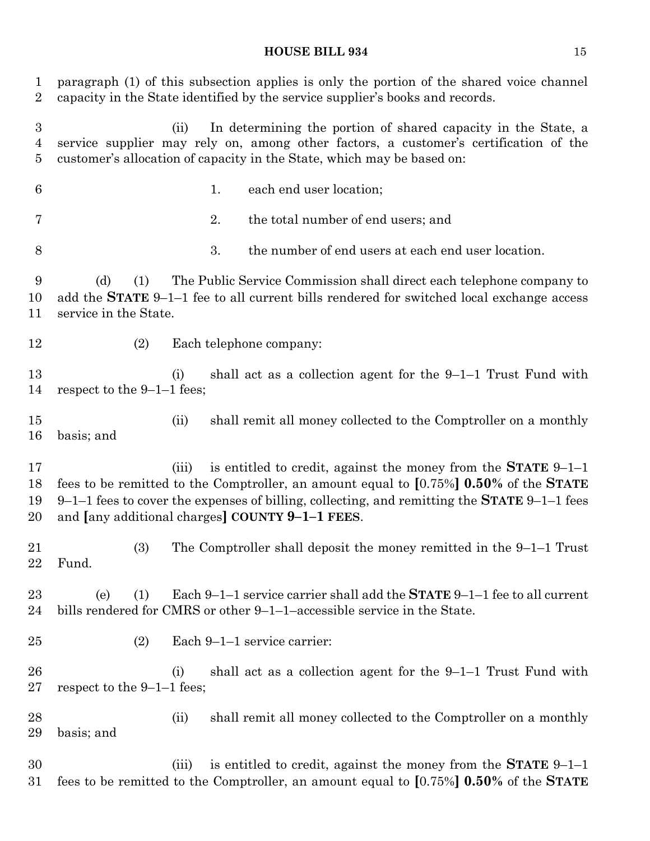paragraph (1) of this subsection applies is only the portion of the shared voice channel capacity in the State identified by the service supplier's books and records. (ii) In determining the portion of shared capacity in the State, a service supplier may rely on, among other factors, a customer's certification of the customer's allocation of capacity in the State, which may be based on: 1. each end user location; 2. the total number of end users; and 3. the number of end users at each end user location. (d) (1) The Public Service Commission shall direct each telephone company to add the **STATE** 9–1–1 fee to all current bills rendered for switched local exchange access service in the State. (2) Each telephone company: (i) shall act as a collection agent for the 9–1–1 Trust Fund with respect to the 9–1–1 fees; (ii) shall remit all money collected to the Comptroller on a monthly basis; and (iii) is entitled to credit, against the money from the **STATE** 9–1–1 fees to be remitted to the Comptroller, an amount equal to **[**0.75%**] 0.50%** of the **STATE** 9–1–1 fees to cover the expenses of billing, collecting, and remitting the **STATE** 9–1–1 fees and **[**any additional charges**] COUNTY 9–1–1 FEES**. (3) The Comptroller shall deposit the money remitted in the 9–1–1 Trust Fund. (e) (1) Each 9–1–1 service carrier shall add the **STATE** 9–1–1 fee to all current bills rendered for CMRS or other 9–1–1–accessible service in the State. (2) Each 9–1–1 service carrier: (i) shall act as a collection agent for the 9–1–1 Trust Fund with respect to the 9–1–1 fees; (ii) shall remit all money collected to the Comptroller on a monthly basis; and (iii) is entitled to credit, against the money from the **STATE** 9–1–1 fees to be remitted to the Comptroller, an amount equal to **[**0.75%**] 0.50%** of the **STATE**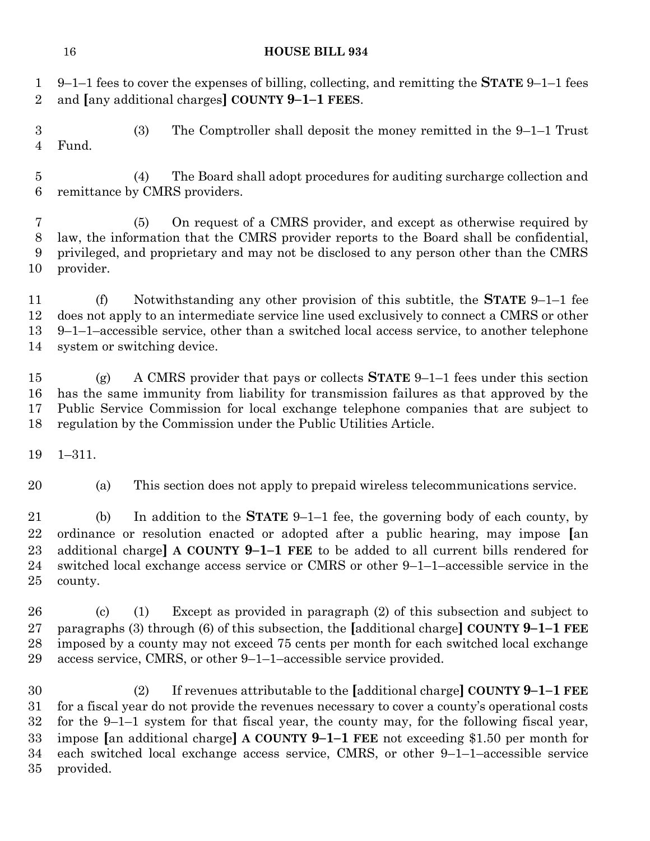9–1–1 fees to cover the expenses of billing, collecting, and remitting the **STATE** 9–1–1 fees and **[**any additional charges**] COUNTY 9–1–1 FEES**.

 (3) The Comptroller shall deposit the money remitted in the 9–1–1 Trust Fund.

 (4) The Board shall adopt procedures for auditing surcharge collection and remittance by CMRS providers.

 (5) On request of a CMRS provider, and except as otherwise required by law, the information that the CMRS provider reports to the Board shall be confidential, privileged, and proprietary and may not be disclosed to any person other than the CMRS provider.

 (f) Notwithstanding any other provision of this subtitle, the **STATE** 9–1–1 fee does not apply to an intermediate service line used exclusively to connect a CMRS or other 9–1–1–accessible service, other than a switched local access service, to another telephone system or switching device.

 (g) A CMRS provider that pays or collects **STATE** 9–1–1 fees under this section has the same immunity from liability for transmission failures as that approved by the Public Service Commission for local exchange telephone companies that are subject to regulation by the Commission under the Public Utilities Article.

1–311.

(a) This section does not apply to prepaid wireless telecommunications service.

 (b) In addition to the **STATE** 9–1–1 fee, the governing body of each county, by ordinance or resolution enacted or adopted after a public hearing, may impose **[**an additional charge**] A COUNTY 9–1–1 FEE** to be added to all current bills rendered for switched local exchange access service or CMRS or other 9–1–1–accessible service in the county.

 (c) (1) Except as provided in paragraph (2) of this subsection and subject to paragraphs (3) through (6) of this subsection, the **[**additional charge**] COUNTY 9–1–1 FEE** imposed by a county may not exceed 75 cents per month for each switched local exchange access service, CMRS, or other 9–1–1–accessible service provided.

 (2) If revenues attributable to the **[**additional charge**] COUNTY 9–1–1 FEE** for a fiscal year do not provide the revenues necessary to cover a county's operational costs for the 9–1–1 system for that fiscal year, the county may, for the following fiscal year, impose **[**an additional charge**] A COUNTY 9–1–1 FEE** not exceeding \$1.50 per month for each switched local exchange access service, CMRS, or other 9–1–1–accessible service provided.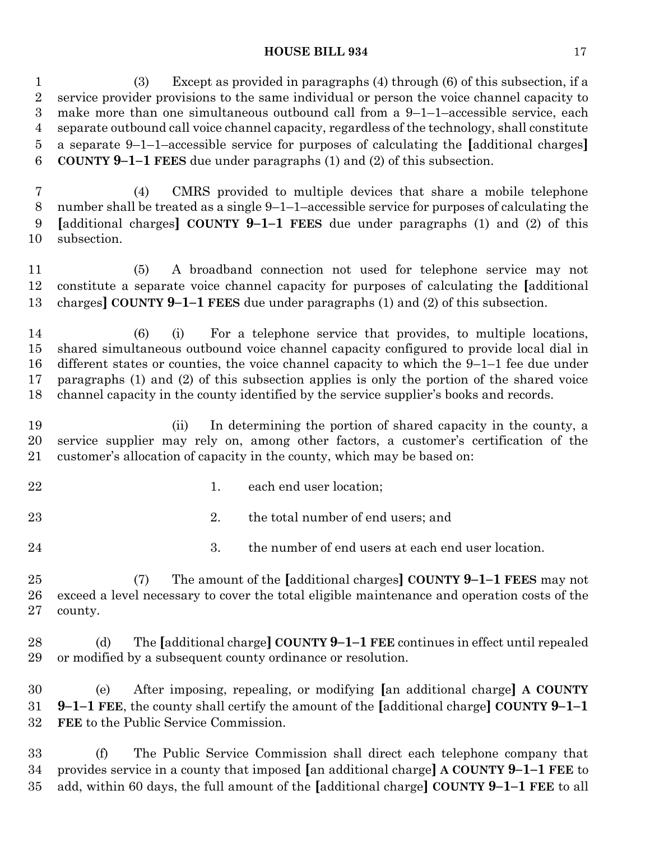(3) Except as provided in paragraphs (4) through (6) of this subsection, if a service provider provisions to the same individual or person the voice channel capacity to make more than one simultaneous outbound call from a 9–1–1–accessible service, each separate outbound call voice channel capacity, regardless of the technology, shall constitute a separate 9–1–1–accessible service for purposes of calculating the **[**additional charges**] COUNTY 9–1–1 FEES** due under paragraphs (1) and (2) of this subsection.

 (4) CMRS provided to multiple devices that share a mobile telephone number shall be treated as a single 9–1–1–accessible service for purposes of calculating the **[**additional charges**] COUNTY 9–1–1 FEES** due under paragraphs (1) and (2) of this subsection.

 (5) A broadband connection not used for telephone service may not constitute a separate voice channel capacity for purposes of calculating the **[**additional charges**] COUNTY 9–1–1 FEES** due under paragraphs (1) and (2) of this subsection.

 (6) (i) For a telephone service that provides, to multiple locations, shared simultaneous outbound voice channel capacity configured to provide local dial in different states or counties, the voice channel capacity to which the 9–1–1 fee due under paragraphs (1) and (2) of this subsection applies is only the portion of the shared voice channel capacity in the county identified by the service supplier's books and records.

 (ii) In determining the portion of shared capacity in the county, a service supplier may rely on, among other factors, a customer's certification of the customer's allocation of capacity in the county, which may be based on:

- 
- 22 1. each end user location;
- 23 23 2. the total number of end users; and
- 

24 3. the number of end users at each end user location.

 (7) The amount of the **[**additional charges**] COUNTY 9–1–1 FEES** may not exceed a level necessary to cover the total eligible maintenance and operation costs of the county.

 (d) The **[**additional charge**] COUNTY 9–1–1 FEE** continues in effect until repealed or modified by a subsequent county ordinance or resolution.

 (e) After imposing, repealing, or modifying **[**an additional charge**] A COUNTY 9–1–1 FEE**, the county shall certify the amount of the **[**additional charge**] COUNTY 9–1–1 FEE** to the Public Service Commission.

 (f) The Public Service Commission shall direct each telephone company that provides service in a county that imposed **[**an additional charge**] A COUNTY 9–1–1 FEE** to add, within 60 days, the full amount of the **[**additional charge**] COUNTY 9–1–1 FEE** to all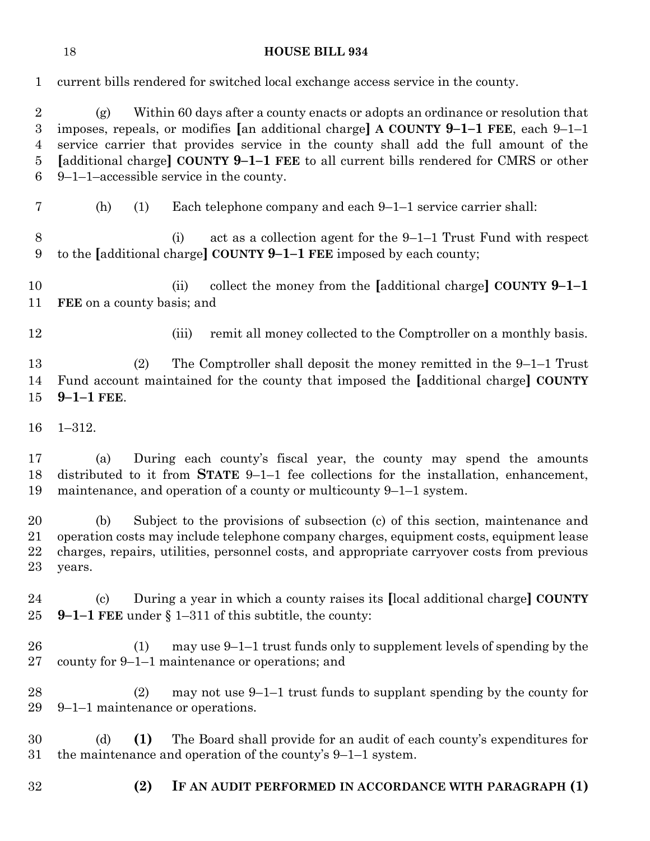| $\mathbf 1$                                       | current bills rendered for switched local exchange access service in the county.                                                                                                                                                                                                                                                                                                                           |
|---------------------------------------------------|------------------------------------------------------------------------------------------------------------------------------------------------------------------------------------------------------------------------------------------------------------------------------------------------------------------------------------------------------------------------------------------------------------|
| $\overline{2}$<br>$\boldsymbol{3}$<br>4<br>5<br>6 | Within 60 days after a county enacts or adopts an ordinance or resolution that<br>(g)<br>imposes, repeals, or modifies [an additional charge] A COUNTY 9-1-1 FEE, each 9-1-1<br>service carrier that provides service in the county shall add the full amount of the<br>[additional charge] COUNTY 9-1-1 FEE to all current bills rendered for CMRS or other<br>$9-1-1$ –accessible service in the county. |
| 7                                                 | Each telephone company and each 9–1–1 service carrier shall:<br>(h)<br>(1)                                                                                                                                                                                                                                                                                                                                 |
| 8<br>9                                            | act as a collection agent for the 9-1-1 Trust Fund with respect<br>(i)<br>to the [additional charge] COUNTY $9-1-1$ FEE imposed by each county;                                                                                                                                                                                                                                                            |
| 10<br>11                                          | collect the money from the [additional charge] COUNTY $9-1-1$<br>(ii)<br><b>FEE</b> on a county basis; and                                                                                                                                                                                                                                                                                                 |
| 12                                                | remit all money collected to the Comptroller on a monthly basis.<br>(iii)                                                                                                                                                                                                                                                                                                                                  |
| 13<br>14<br>$15\,$                                | The Comptroller shall deposit the money remitted in the $9-1-1$ Trust<br>(2)<br>Fund account maintained for the county that imposed the [additional charge] COUNTY<br>$9 - 1 - 1$ FEE.                                                                                                                                                                                                                     |
| 16                                                | $1 - 312.$                                                                                                                                                                                                                                                                                                                                                                                                 |
| 17<br>18<br>19                                    | During each county's fiscal year, the county may spend the amounts<br>(a)<br>distributed to it from <b>STATE</b> $9-1-1$ fee collections for the installation, enhancement,<br>maintenance, and operation of a county or multicounty $9-1-1$ system.                                                                                                                                                       |
| 20<br>21<br>22<br>23                              | Subject to the provisions of subsection (c) of this section, maintenance and<br>(b)<br>operation costs may include telephone company charges, equipment costs, equipment lease<br>charges, repairs, utilities, personnel costs, and appropriate carryover costs from previous<br>years.                                                                                                                    |
| 24<br>$25\,$                                      | During a year in which a county raises its [local additional charge] COUNTY<br>$\left( \mathrm{c}\right)$<br>9-1-1 FEE under $\S 1-311$ of this subtitle, the county:                                                                                                                                                                                                                                      |
| $26\,$<br>$27\,$                                  | may use $9-1-1$ trust funds only to supplement levels of spending by the<br>(1)<br>county for 9–1–1 maintenance or operations; and                                                                                                                                                                                                                                                                         |
| 28<br>29                                          | may not use $9-1-1$ trust funds to supplant spending by the county for<br>(2)<br>9–1–1 maintenance or operations.                                                                                                                                                                                                                                                                                          |
| 30<br>$31\,$                                      | The Board shall provide for an audit of each county's expenditures for<br>(d)<br>(1)<br>the maintenance and operation of the county's $9-1-1$ system.                                                                                                                                                                                                                                                      |
| 32                                                | (2)<br>IF AN AUDIT PERFORMED IN ACCORDANCE WITH PARAGRAPH (1)                                                                                                                                                                                                                                                                                                                                              |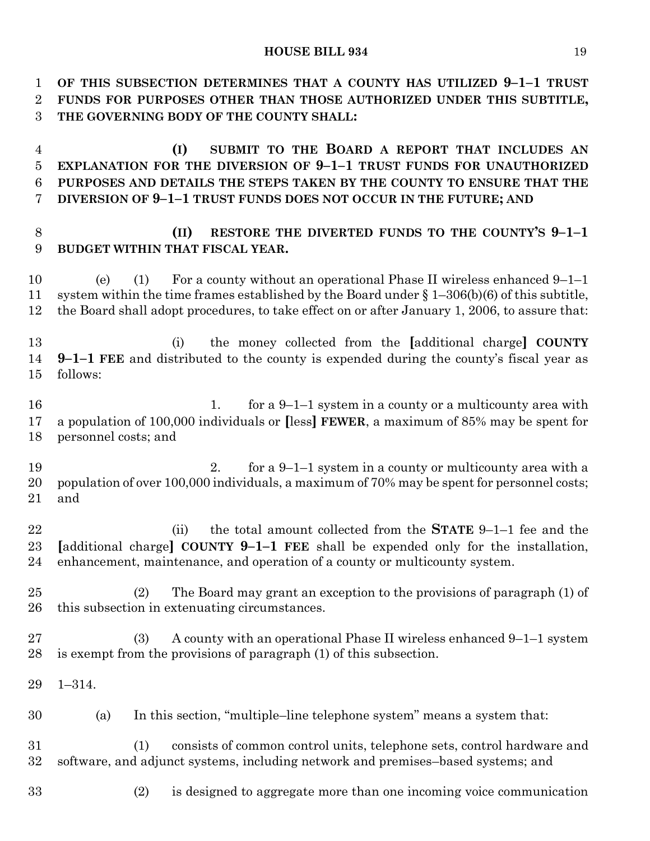**OF THIS SUBSECTION DETERMINES THAT A COUNTY HAS UTILIZED 9–1–1 TRUST FUNDS FOR PURPOSES OTHER THAN THOSE AUTHORIZED UNDER THIS SUBTITLE, THE GOVERNING BODY OF THE COUNTY SHALL:**

 **(I) SUBMIT TO THE BOARD A REPORT THAT INCLUDES AN EXPLANATION FOR THE DIVERSION OF 9–1–1 TRUST FUNDS FOR UNAUTHORIZED PURPOSES AND DETAILS THE STEPS TAKEN BY THE COUNTY TO ENSURE THAT THE DIVERSION OF 9–1–1 TRUST FUNDS DOES NOT OCCUR IN THE FUTURE; AND**

# **(II) RESTORE THE DIVERTED FUNDS TO THE COUNTY'S 9–1–1 BUDGET WITHIN THAT FISCAL YEAR.**

 (e) (1) For a county without an operational Phase II wireless enhanced 9–1–1 system within the time frames established by the Board under § 1–306(b)(6) of this subtitle, the Board shall adopt procedures, to take effect on or after January 1, 2006, to assure that:

 (i) the money collected from the **[**additional charge**] COUNTY 9–1–1 FEE** and distributed to the county is expended during the county's fiscal year as follows:

16 16 1. for a 9-1-1 system in a county or a multicounty area with a population of 100,000 individuals or **[**less**] FEWER**, a maximum of 85% may be spent for personnel costs; and

 2. for a 9–1–1 system in a county or multicounty area with a 20 population of over 100,000 individuals, a maximum of 70% may be spent for personnel costs; and

 (ii) the total amount collected from the **STATE** 9–1–1 fee and the **[**additional charge**] COUNTY 9–1–1 FEE** shall be expended only for the installation, enhancement, maintenance, and operation of a county or multicounty system.

 (2) The Board may grant an exception to the provisions of paragraph (1) of this subsection in extenuating circumstances.

 (3) A county with an operational Phase II wireless enhanced 9–1–1 system is exempt from the provisions of paragraph (1) of this subsection.

1–314.

(a) In this section, "multiple–line telephone system" means a system that:

 (1) consists of common control units, telephone sets, control hardware and software, and adjunct systems, including network and premises–based systems; and

(2) is designed to aggregate more than one incoming voice communication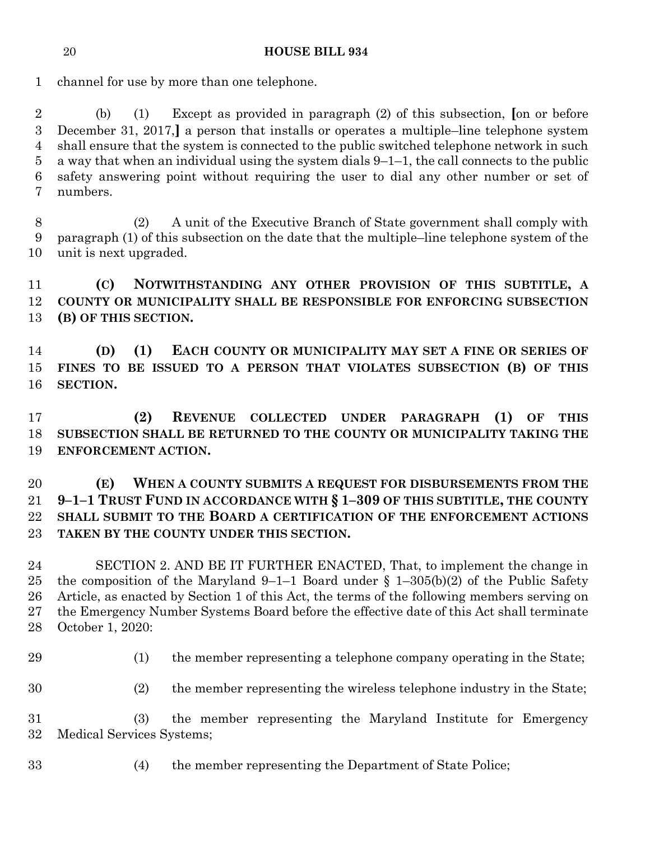channel for use by more than one telephone.

 (b) (1) Except as provided in paragraph (2) of this subsection, **[**on or before December 31, 2017,**]** a person that installs or operates a multiple–line telephone system shall ensure that the system is connected to the public switched telephone network in such a way that when an individual using the system dials 9–1–1, the call connects to the public safety answering point without requiring the user to dial any other number or set of numbers.

 (2) A unit of the Executive Branch of State government shall comply with paragraph (1) of this subsection on the date that the multiple–line telephone system of the unit is next upgraded.

 **(C) NOTWITHSTANDING ANY OTHER PROVISION OF THIS SUBTITLE, A COUNTY OR MUNICIPALITY SHALL BE RESPONSIBLE FOR ENFORCING SUBSECTION (B) OF THIS SECTION.**

 **(D) (1) EACH COUNTY OR MUNICIPALITY MAY SET A FINE OR SERIES OF FINES TO BE ISSUED TO A PERSON THAT VIOLATES SUBSECTION (B) OF THIS SECTION.**

 **(2) REVENUE COLLECTED UNDER PARAGRAPH (1) OF THIS SUBSECTION SHALL BE RETURNED TO THE COUNTY OR MUNICIPALITY TAKING THE ENFORCEMENT ACTION.**

 **(E) WHEN A COUNTY SUBMITS A REQUEST FOR DISBURSEMENTS FROM THE 9–1–1 TRUST FUND IN ACCORDANCE WITH § 1–309 OF THIS SUBTITLE, THE COUNTY SHALL SUBMIT TO THE BOARD A CERTIFICATION OF THE ENFORCEMENT ACTIONS TAKEN BY THE COUNTY UNDER THIS SECTION.**

 SECTION 2. AND BE IT FURTHER ENACTED, That, to implement the change in 25 the composition of the Maryland 9–1–1 Board under  $\S$  1–305(b)(2) of the Public Safety Article, as enacted by Section 1 of this Act, the terms of the following members serving on the Emergency Number Systems Board before the effective date of this Act shall terminate October 1, 2020:

(1) the member representing a telephone company operating in the State;

(2) the member representing the wireless telephone industry in the State;

 (3) the member representing the Maryland Institute for Emergency Medical Services Systems;

- 
- (4) the member representing the Department of State Police;